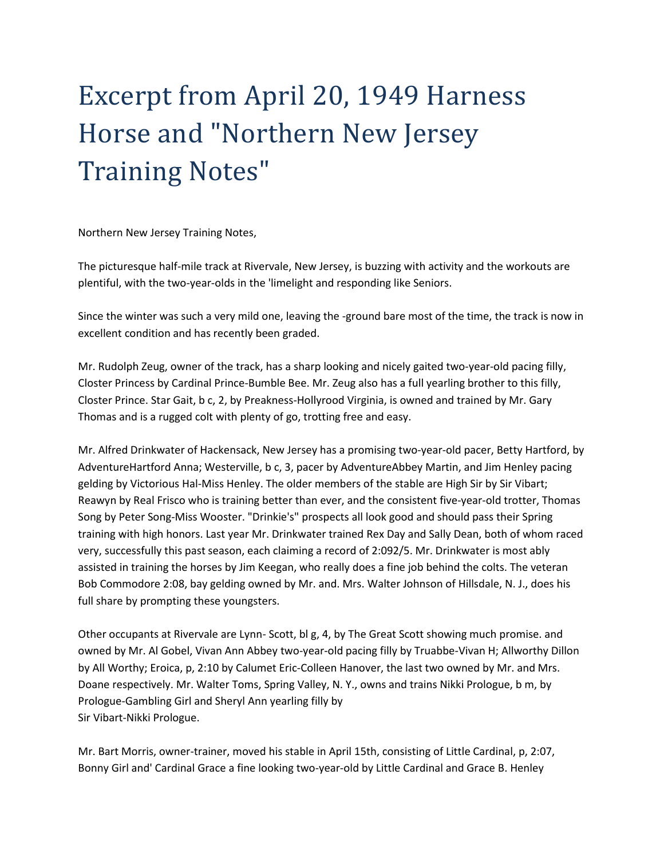## Excerpt from April 20, 1949 Harness Horse and "Northern New Jersey Training Notes"

Northern New Jersey Training Notes,

The picturesque half-mile track at Rivervale, New Jersey, is buzzing with activity and the workouts are plentiful, with the two-year-olds in the 'limelight and responding like Seniors.

Since the winter was such a very mild one, leaving the -ground bare most of the time, the track is now in excellent condition and has recently been graded.

Mr. Rudolph Zeug, owner of the track, has a sharp looking and nicely gaited two-year-old pacing filly, Closter Princess by Cardinal Prince-Bumble Bee. Mr. Zeug also has a full yearling brother to this filly, Closter Prince. Star Gait, b c, 2, by Preakness-Hollyrood Virginia, is owned and trained by Mr. Gary Thomas and is a rugged colt with plenty of go, trotting free and easy.

Mr. Alfred Drinkwater of Hackensack, New Jersey has a promising two-year-old pacer, Betty Hartford, by AdventureHartford Anna; Westerville, b c, 3, pacer by AdventureAbbey Martin, and Jim Henley pacing gelding by Victorious Hal-Miss Henley. The older members of the stable are High Sir by Sir Vibart; Reawyn by Real Frisco who is training better than ever, and the consistent five-year-old trotter, Thomas Song by Peter Song-Miss Wooster. "Drinkie's" prospects all look good and should pass their Spring training with high honors. Last year Mr. Drinkwater trained Rex Day and Sally Dean, both of whom raced very, successfully this past season, each claiming a record of 2:092/5. Mr. Drinkwater is most ably assisted in training the horses by Jim Keegan, who really does a fine job behind the colts. The veteran Bob Commodore 2:08, bay gelding owned by Mr. and. Mrs. Walter Johnson of Hillsdale, N. J., does his full share by prompting these youngsters.

Other occupants at Rivervale are Lynn- Scott, bl g, 4, by The Great Scott showing much promise. and owned by Mr. Al Gobel, Vivan Ann Abbey two-year-old pacing filly by Truabbe-Vivan H; Allworthy Dillon by All Worthy; Eroica, p, 2:10 by Calumet Eric-Colleen Hanover, the last two owned by Mr. and Mrs. Doane respectively. Mr. Walter Toms, Spring Valley, N. Y., owns and trains Nikki Prologue, b m, by Prologue-Gambling Girl and Sheryl Ann yearling filly by Sir Vibart-Nikki Prologue.

Mr. Bart Morris, owner-trainer, moved his stable in April 15th, consisting of Little Cardinal, p, 2:07, Bonny Girl and' Cardinal Grace a fine looking two-year-old by Little Cardinal and Grace B. Henley